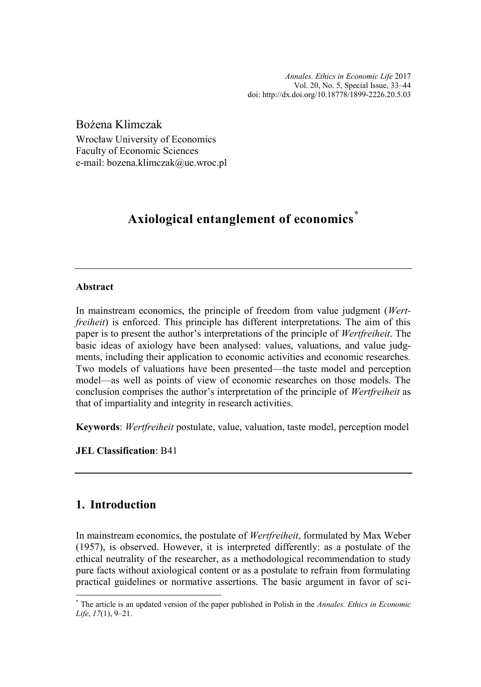*Annales. Ethics in Economic Life* 2017 Vol. 20, No. 5, Special Issue, 33–44 [doi: http://dx.doi.org/10.18778/1899-2226.20.5.0](http://dx.doi.org/10.18778/1899-2226.20.5.03)3

Bożena Klimczak

Wrocław University of Economics Faculty of Economic Sciences e-mail: bozena.klimczak@ue.wroc.pl

# **Axiological entanglement of economics\***

#### **Abstract**

In mainstream economics, the principle of freedom from value judgment (*Wertfreiheit*) is enforced. This principle has different interpretations. The aim of this paper is to present the author's interpretations of the principle of *Wertfreiheit*. The basic ideas of axiology have been analysed: values, valuations, and value judgments, including their application to economic activities and economic researches. Two models of valuations have been presented—the taste model and perception model—as well as points of view of economic researches on those models. The conclusion comprises the author's interpretation of the principle of *Wertfreiheit* as that of impartiality and integrity in research activities.

**Keywords**: *Wertfreiheit* postulate, value, valuation, taste model, perception model

**JEL Classification**: B41

## **1. Introduction**

In mainstream economics, the postulate of *Wertfreiheit*, formulated by Max Weber (1957), is observed. However, it is interpreted differently: as a postulate of the ethical neutrality of the researcher, as a methodological recommendation to study pure facts without axiological content or as a postulate to refrain from formulating practical guidelines or normative assertions. The basic argument in favor of sci-

<sup>\*</sup> The article is an updated version of the paper published in Polish in the *Annales. Ethics in Economic Life*, *17*(1), 9–21.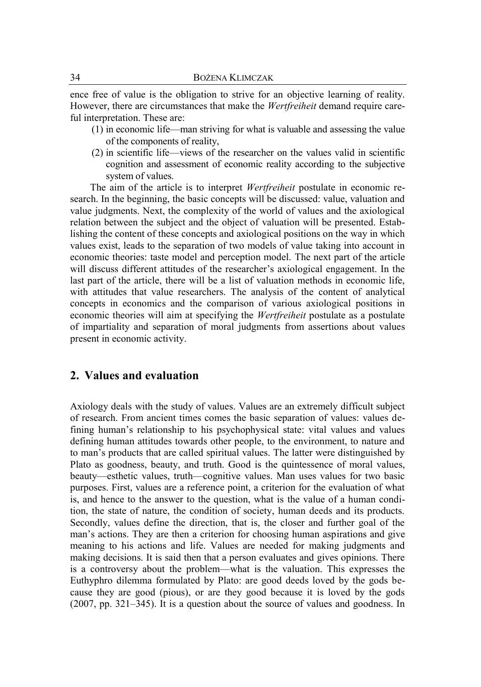ence free of value is the obligation to strive for an objective learning of reality. However, there are circumstances that make the *Wertfreiheit* demand require careful interpretation. These are:

- (1) in economic life—man striving for what is valuable and assessing the value of the components of reality,
- (2) in scientific life—views of the researcher on the values valid in scientific cognition and assessment of economic reality according to the subjective system of values.

The aim of the article is to interpret *Wertfreiheit* postulate in economic research. In the beginning, the basic concepts will be discussed: value, valuation and value judgments. Next, the complexity of the world of values and the axiological relation between the subject and the object of valuation will be presented. Establishing the content of these concepts and axiological positions on the way in which values exist, leads to the separation of two models of value taking into account in economic theories: taste model and perception model. The next part of the article will discuss different attitudes of the researcher's axiological engagement. In the last part of the article, there will be a list of valuation methods in economic life, with attitudes that value researchers. The analysis of the content of analytical concepts in economics and the comparison of various axiological positions in economic theories will aim at specifying the *Wertfreiheit* postulate as a postulate of impartiality and separation of moral judgments from assertions about values present in economic activity.

#### **2. Values and evaluation**

Axiology deals with the study of values. Values are an extremely difficult subject of research. From ancient times comes the basic separation of values: values defining human's relationship to his psychophysical state: vital values and values defining human attitudes towards other people, to the environment, to nature and to man's products that are called spiritual values. The latter were distinguished by Plato as goodness, beauty, and truth. Good is the quintessence of moral values, beauty—esthetic values, truth—cognitive values. Man uses values for two basic purposes. First, values are a reference point, a criterion for the evaluation of what is, and hence to the answer to the question, what is the value of a human condition, the state of nature, the condition of society, human deeds and its products. Secondly, values define the direction, that is, the closer and further goal of the man's actions. They are then a criterion for choosing human aspirations and give meaning to his actions and life. Values are needed for making judgments and making decisions. It is said then that a person evaluates and gives opinions. There is a controversy about the problem—what is the valuation. This expresses the Euthyphro dilemma formulated by Plato: are good deeds loved by the gods because they are good (pious), or are they good because it is loved by the gods (2007, pp. 321–345). It is a question about the source of values and goodness. In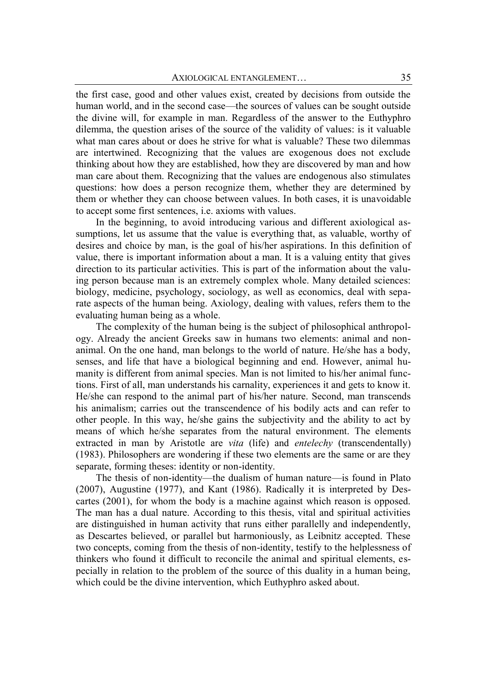the first case, good and other values exist, created by decisions from outside the human world, and in the second case—the sources of values can be sought outside the divine will, for example in man. Regardless of the answer to the Euthyphro dilemma, the question arises of the source of the validity of values: is it valuable what man cares about or does he strive for what is valuable? These two dilemmas are intertwined. Recognizing that the values are exogenous does not exclude thinking about how they are established, how they are discovered by man and how man care about them. Recognizing that the values are endogenous also stimulates questions: how does a person recognize them, whether they are determined by them or whether they can choose between values. In both cases, it is unavoidable to accept some first sentences, i.e. axioms with values.

In the beginning, to avoid introducing various and different axiological assumptions, let us assume that the value is everything that, as valuable, worthy of desires and choice by man, is the goal of his/her aspirations. In this definition of value, there is important information about a man. It is a valuing entity that gives direction to its particular activities. This is part of the information about the valuing person because man is an extremely complex whole. Many detailed sciences: biology, medicine, psychology, sociology, as well as economics, deal with separate aspects of the human being. Axiology, dealing with values, refers them to the evaluating human being as a whole.

The complexity of the human being is the subject of philosophical anthropology. Already the ancient Greeks saw in humans two elements: animal and nonanimal. On the one hand, man belongs to the world of nature. He/she has a body, senses, and life that have a biological beginning and end. However, animal humanity is different from animal species. Man is not limited to his/her animal functions. First of all, man understands his carnality, experiences it and gets to know it. He/she can respond to the animal part of his/her nature. Second, man transcends his animalism; carries out the transcendence of his bodily acts and can refer to other people. In this way, he/she gains the subjectivity and the ability to act by means of which he/she separates from the natural environment. The elements extracted in man by Aristotle are *vita* (life) and *entelechy* (transcendentally) (1983). Philosophers are wondering if these two elements are the same or are they separate, forming theses: identity or non-identity.

The thesis of non-identity—the dualism of human nature—is found in Plato (2007), Augustine (1977), and Kant (1986). Radically it is interpreted by Descartes (2001), for whom the body is a machine against which reason is opposed. The man has a dual nature. According to this thesis, vital and spiritual activities are distinguished in human activity that runs either parallelly and independently, as Descartes believed, or parallel but harmoniously, as Leibnitz accepted. These two concepts, coming from the thesis of non-identity, testify to the helplessness of thinkers who found it difficult to reconcile the animal and spiritual elements, especially in relation to the problem of the source of this duality in a human being, which could be the divine intervention, which Euthyphro asked about.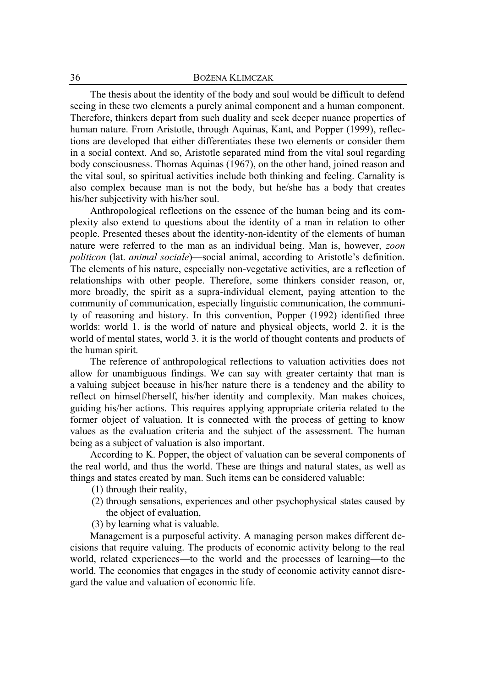The thesis about the identity of the body and soul would be difficult to defend seeing in these two elements a purely animal component and a human component. Therefore, thinkers depart from such duality and seek deeper nuance properties of human nature. From Aristotle, through Aquinas, Kant, and Popper (1999), reflections are developed that either differentiates these two elements or consider them in a social context. And so, Aristotle separated mind from the vital soul regarding body consciousness. Thomas Aquinas (1967), on the other hand, joined reason and the vital soul, so spiritual activities include both thinking and feeling. Carnality is also complex because man is not the body, but he/she has a body that creates his/her subjectivity with his/her soul.

Anthropological reflections on the essence of the human being and its complexity also extend to questions about the identity of a man in relation to other people. Presented theses about the identity-non-identity of the elements of human nature were referred to the man as an individual being. Man is, however, *zoon politicon* (lat. *animal sociale*)—social animal, according to Aristotle's definition. The elements of his nature, especially non-vegetative activities, are a reflection of relationships with other people. Therefore, some thinkers consider reason, or, more broadly, the spirit as a supra-individual element, paying attention to the community of communication, especially linguistic communication, the community of reasoning and history. In this convention, Popper (1992) identified three worlds: world 1. is the world of nature and physical objects, world 2. it is the world of mental states, world 3. it is the world of thought contents and products of the human spirit.

The reference of anthropological reflections to valuation activities does not allow for unambiguous findings. We can say with greater certainty that man is a valuing subject because in his/her nature there is a tendency and the ability to reflect on himself/herself, his/her identity and complexity. Man makes choices, guiding his/her actions. This requires applying appropriate criteria related to the former object of valuation. It is connected with the process of getting to know values as the evaluation criteria and the subject of the assessment. The human being as a subject of valuation is also important.

According to K. Popper, the object of valuation can be several components of the real world, and thus the world. These are things and natural states, as well as things and states created by man. Such items can be considered valuable:

- (1) through their reality,
- (2) through sensations, experiences and other psychophysical states caused by the object of evaluation,
- (3) by learning what is valuable.

Management is a purposeful activity. A managing person makes different decisions that require valuing. The products of economic activity belong to the real world, related experiences—to the world and the processes of learning—to the world. The economics that engages in the study of economic activity cannot disregard the value and valuation of economic life.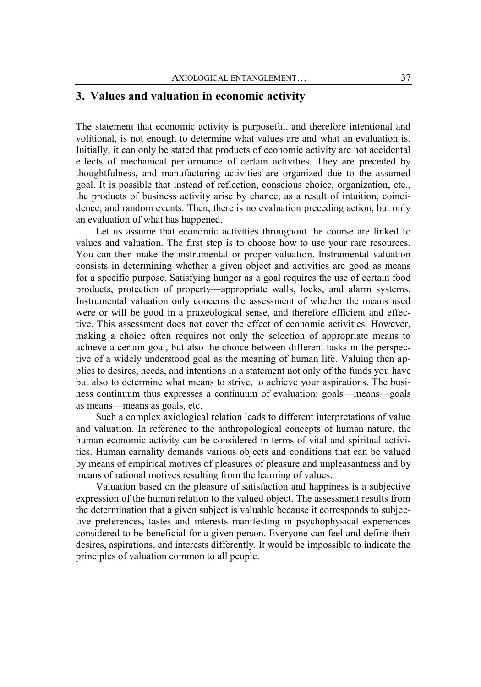#### **3. Values and valuation in economic activity**

The statement that economic activity is purposeful, and therefore intentional and volitional, is not enough to determine what values are and what an evaluation is. Initially, it can only be stated that products of economic activity are not accidental effects of mechanical performance of certain activities. They are preceded by thoughtfulness, and manufacturing activities are organized due to the assumed goal. It is possible that instead of reflection, conscious choice, organization, etc., the products of business activity arise by chance, as a result of intuition, coincidence, and random events. Then, there is no evaluation preceding action, but only an evaluation of what has happened.

Let us assume that economic activities throughout the course are linked to values and valuation. The first step is to choose how to use your rare resources. You can then make the instrumental or proper valuation. Instrumental valuation consists in determining whether a given object and activities are good as means for a specific purpose. Satisfying hunger as a goal requires the use of certain food products, protection of property—appropriate walls, locks, and alarm systems. Instrumental valuation only concerns the assessment of whether the means used were or will be good in a praxeological sense, and therefore efficient and effective. This assessment does not cover the effect of economic activities. However, making a choice often requires not only the selection of appropriate means to achieve a certain goal, but also the choice between different tasks in the perspective of a widely understood goal as the meaning of human life. Valuing then applies to desires, needs, and intentions in a statement not only of the funds you have but also to determine what means to strive, to achieve your aspirations. The business continuum thus expresses a continuum of evaluation: goals—means—goals as means—means as goals, etc.

Such a complex axiological relation leads to different interpretations of value and valuation. In reference to the anthropological concepts of human nature, the human economic activity can be considered in terms of vital and spiritual activities. Human carnality demands various objects and conditions that can be valued by means of empirical motives of pleasures of pleasure and unpleasantness and by means of rational motives resulting from the learning of values.

Valuation based on the pleasure of satisfaction and happiness is a subjective expression of the human relation to the valued object. The assessment results from the determination that a given subject is valuable because it corresponds to subjective preferences, tastes and interests manifesting in psychophysical experiences considered to be beneficial for a given person. Everyone can feel and define their desires, aspirations, and interests differently. It would be impossible to indicate the principles of valuation common to all people.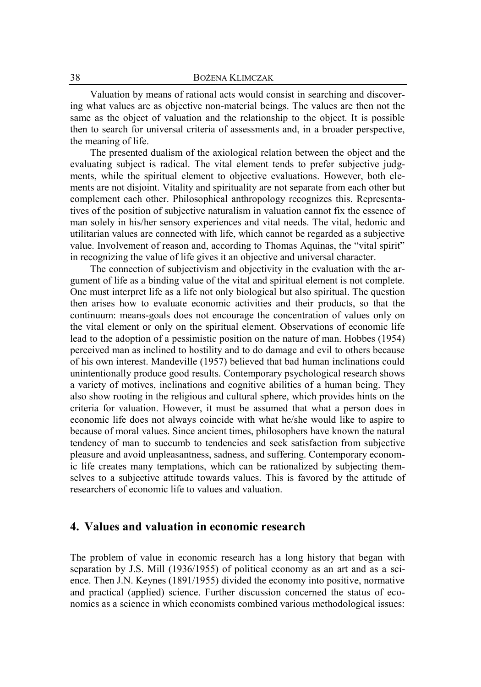Valuation by means of rational acts would consist in searching and discovering what values are as objective non-material beings. The values are then not the same as the object of valuation and the relationship to the object. It is possible then to search for universal criteria of assessments and, in a broader perspective, the meaning of life.

The presented dualism of the axiological relation between the object and the evaluating subject is radical. The vital element tends to prefer subjective judgments, while the spiritual element to objective evaluations. However, both elements are not disjoint. Vitality and spirituality are not separate from each other but complement each other. Philosophical anthropology recognizes this. Representatives of the position of subjective naturalism in valuation cannot fix the essence of man solely in his/her sensory experiences and vital needs. The vital, hedonic and utilitarian values are connected with life, which cannot be regarded as a subjective value. Involvement of reason and, according to Thomas Aquinas, the "vital spirit" in recognizing the value of life gives it an objective and universal character.

The connection of subjectivism and objectivity in the evaluation with the argument of life as a binding value of the vital and spiritual element is not complete. One must interpret life as a life not only biological but also spiritual. The question then arises how to evaluate economic activities and their products, so that the continuum: means-goals does not encourage the concentration of values only on the vital element or only on the spiritual element. Observations of economic life lead to the adoption of a pessimistic position on the nature of man. Hobbes (1954) perceived man as inclined to hostility and to do damage and evil to others because of his own interest. Mandeville (1957) believed that bad human inclinations could unintentionally produce good results. Contemporary psychological research shows a variety of motives, inclinations and cognitive abilities of a human being. They also show rooting in the religious and cultural sphere, which provides hints on the criteria for valuation. However, it must be assumed that what a person does in economic life does not always coincide with what he/she would like to aspire to because of moral values. Since ancient times, philosophers have known the natural tendency of man to succumb to tendencies and seek satisfaction from subjective pleasure and avoid unpleasantness, sadness, and suffering. Contemporary economic life creates many temptations, which can be rationalized by subjecting themselves to a subjective attitude towards values. This is favored by the attitude of researchers of economic life to values and valuation.

#### **4. Values and valuation in economic research**

The problem of value in economic research has a long history that began with separation by J.S. Mill (1936/1955) of political economy as an art and as a science. Then J.N. Keynes (1891/1955) divided the economy into positive, normative and practical (applied) science. Further discussion concerned the status of economics as a science in which economists combined various methodological issues: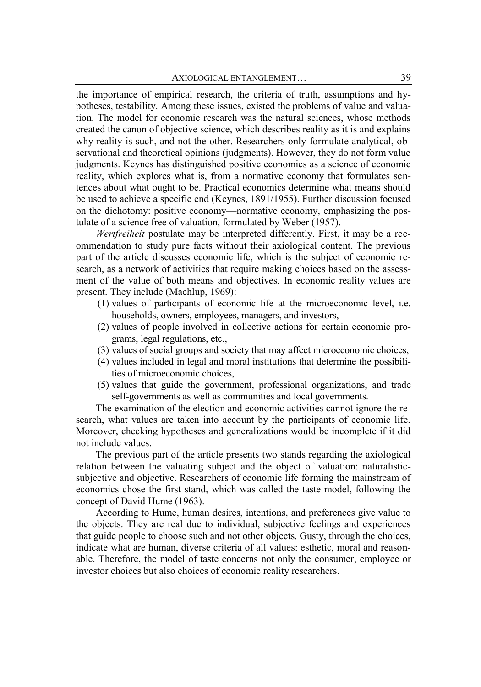the importance of empirical research, the criteria of truth, assumptions and hypotheses, testability. Among these issues, existed the problems of value and valuation. The model for economic research was the natural sciences, whose methods created the canon of objective science, which describes reality as it is and explains why reality is such, and not the other. Researchers only formulate analytical, observational and theoretical opinions (judgments). However, they do not form value judgments. Keynes has distinguished positive economics as a science of economic reality, which explores what is, from a normative economy that formulates sentences about what ought to be. Practical economics determine what means should be used to achieve a specific end (Keynes, 1891/1955). Further discussion focused on the dichotomy: positive economy—normative economy, emphasizing the postulate of a science free of valuation, formulated by Weber (1957).

*Wertfreiheit* postulate may be interpreted differently. First, it may be a recommendation to study pure facts without their axiological content. The previous part of the article discusses economic life, which is the subject of economic research, as a network of activities that require making choices based on the assessment of the value of both means and objectives. In economic reality values are present. They include (Machlup, 1969):

- (1) values of participants of economic life at the microeconomic level, i.e. households, owners, employees, managers, and investors,
- (2) values of people involved in collective actions for certain economic programs, legal regulations, etc.,
- (3) values of social groups and society that may affect microeconomic choices,
- (4) values included in legal and moral institutions that determine the possibilities of microeconomic choices,
- (5) values that guide the government, professional organizations, and trade self-governments as well as communities and local governments.

The examination of the election and economic activities cannot ignore the research, what values are taken into account by the participants of economic life. Moreover, checking hypotheses and generalizations would be incomplete if it did not include values.

The previous part of the article presents two stands regarding the axiological relation between the valuating subject and the object of valuation: naturalisticsubjective and objective. Researchers of economic life forming the mainstream of economics chose the first stand, which was called the taste model, following the concept of David Hume (1963).

According to Hume, human desires, intentions, and preferences give value to the objects. They are real due to individual, subjective feelings and experiences that guide people to choose such and not other objects. Gusty, through the choices, indicate what are human, diverse criteria of all values: esthetic, moral and reasonable. Therefore, the model of taste concerns not only the consumer, employee or investor choices but also choices of economic reality researchers.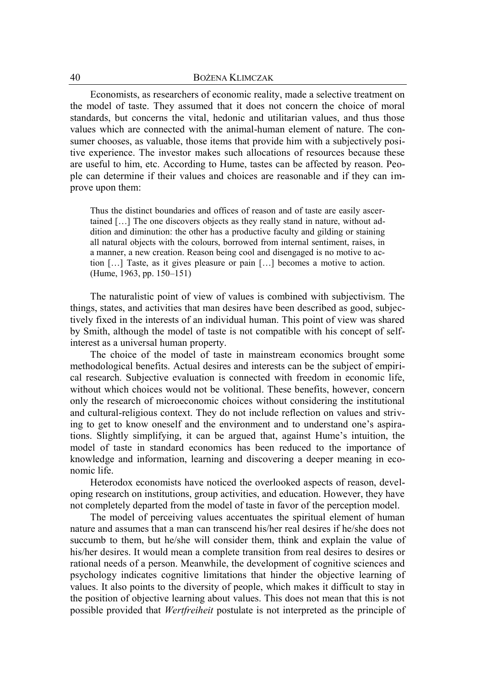#### 40 BOŻENA KLIMCZAK

Economists, as researchers of economic reality, made a selective treatment on the model of taste. They assumed that it does not concern the choice of moral standards, but concerns the vital, hedonic and utilitarian values, and thus those values which are connected with the animal-human element of nature. The consumer chooses, as valuable, those items that provide him with a subjectively positive experience. The investor makes such allocations of resources because these are useful to him, etc. According to Hume, tastes can be affected by reason. People can determine if their values and choices are reasonable and if they can improve upon them:

Thus the distinct boundaries and offices of reason and of taste are easily ascertained […] The one discovers objects as they really stand in nature, without addition and diminution: the other has a productive faculty and gilding or staining all natural objects with the colours, borrowed from internal sentiment, raises, in a manner, a new creation. Reason being cool and disengaged is no motive to action […] Taste, as it gives pleasure or pain […] becomes a motive to action. (Hume, 1963, pp. 150–151)

The naturalistic point of view of values is combined with subjectivism. The things, states, and activities that man desires have been described as good, subjectively fixed in the interests of an individual human. This point of view was shared by Smith, although the model of taste is not compatible with his concept of selfinterest as a universal human property.

The choice of the model of taste in mainstream economics brought some methodological benefits. Actual desires and interests can be the subject of empirical research. Subjective evaluation is connected with freedom in economic life, without which choices would not be volitional. These benefits, however, concern only the research of microeconomic choices without considering the institutional and cultural-religious context. They do not include reflection on values and striving to get to know oneself and the environment and to understand one's aspirations. Slightly simplifying, it can be argued that, against Hume's intuition, the model of taste in standard economics has been reduced to the importance of knowledge and information, learning and discovering a deeper meaning in economic life.

Heterodox economists have noticed the overlooked aspects of reason, developing research on institutions, group activities, and education. However, they have not completely departed from the model of taste in favor of the perception model.

The model of perceiving values accentuates the spiritual element of human nature and assumes that a man can transcend his/her real desires if he/she does not succumb to them, but he/she will consider them, think and explain the value of his/her desires. It would mean a complete transition from real desires to desires or rational needs of a person. Meanwhile, the development of cognitive sciences and psychology indicates cognitive limitations that hinder the objective learning of values. It also points to the diversity of people, which makes it difficult to stay in the position of objective learning about values. This does not mean that this is not possible provided that *Wertfreiheit* postulate is not interpreted as the principle of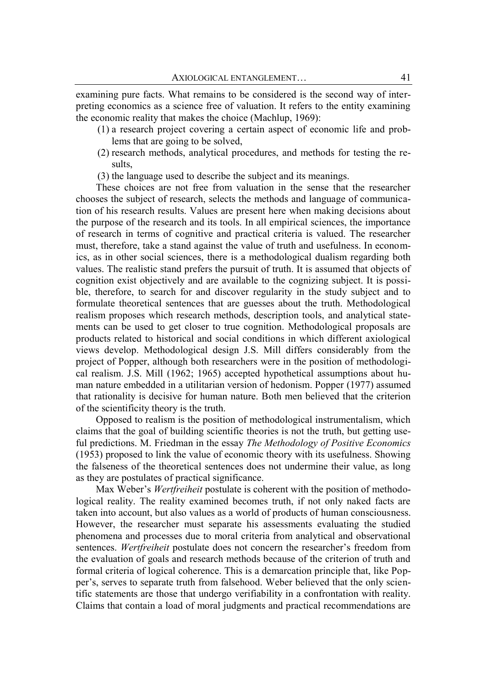examining pure facts. What remains to be considered is the second way of interpreting economics as a science free of valuation. It refers to the entity examining the economic reality that makes the choice (Machlup, 1969):

- (1) a research project covering a certain aspect of economic life and problems that are going to be solved,
- (2) research methods, analytical procedures, and methods for testing the results,
- (3) the language used to describe the subject and its meanings.

These choices are not free from valuation in the sense that the researcher chooses the subject of research, selects the methods and language of communication of his research results. Values are present here when making decisions about the purpose of the research and its tools. In all empirical sciences, the importance of research in terms of cognitive and practical criteria is valued. The researcher must, therefore, take a stand against the value of truth and usefulness. In economics, as in other social sciences, there is a methodological dualism regarding both values. The realistic stand prefers the pursuit of truth. It is assumed that objects of cognition exist objectively and are available to the cognizing subject. It is possible, therefore, to search for and discover regularity in the study subject and to formulate theoretical sentences that are guesses about the truth. Methodological realism proposes which research methods, description tools, and analytical statements can be used to get closer to true cognition. Methodological proposals are products related to historical and social conditions in which different axiological views develop. Methodological design J.S. Mill differs considerably from the project of Popper, although both researchers were in the position of methodological realism. J.S. Mill (1962; 1965) accepted hypothetical assumptions about human nature embedded in a utilitarian version of hedonism. Popper (1977) assumed that rationality is decisive for human nature. Both men believed that the criterion of the scientificity theory is the truth.

Opposed to realism is the position of methodological instrumentalism, which claims that the goal of building scientific theories is not the truth, but getting useful predictions. M. Friedman in the essay *The Methodology of Positive Economics* (1953) proposed to link the value of economic theory with its usefulness. Showing the falseness of the theoretical sentences does not undermine their value, as long as they are postulates of practical significance.

Max Weber's *Wertfreiheit* postulate is coherent with the position of methodological reality. The reality examined becomes truth, if not only naked facts are taken into account, but also values as a world of products of human consciousness. However, the researcher must separate his assessments evaluating the studied phenomena and processes due to moral criteria from analytical and observational sentences. *Wertfreiheit* postulate does not concern the researcher's freedom from the evaluation of goals and research methods because of the criterion of truth and formal criteria of logical coherence. This is a demarcation principle that, like Popper's, serves to separate truth from falsehood. Weber believed that the only scientific statements are those that undergo verifiability in a confrontation with reality. Claims that contain a load of moral judgments and practical recommendations are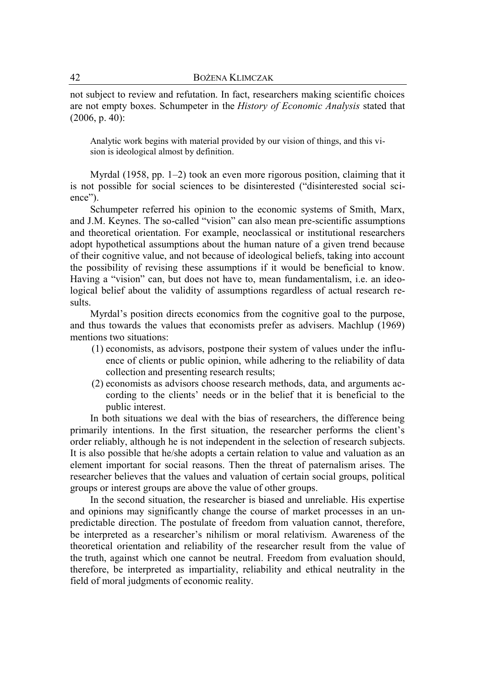not subject to review and refutation. In fact, researchers making scientific choices are not empty boxes. Schumpeter in the *History of Economic Analysis* stated that (2006, p. 40):

Analytic work begins with material provided by our vision of things, and this vision is ideological almost by definition.

Myrdal (1958, pp. 1–2) took an even more rigorous position, claiming that it is not possible for social sciences to be disinterested ("disinterested social science").

Schumpeter referred his opinion to the economic systems of Smith, Marx, and J.M. Keynes. The so-called "vision" can also mean pre-scientific assumptions and theoretical orientation. For example, neoclassical or institutional researchers adopt hypothetical assumptions about the human nature of a given trend because of their cognitive value, and not because of ideological beliefs, taking into account the possibility of revising these assumptions if it would be beneficial to know. Having a "vision" can, but does not have to, mean fundamentalism, i.e. an ideological belief about the validity of assumptions regardless of actual research results.

Myrdal's position directs economics from the cognitive goal to the purpose, and thus towards the values that economists prefer as advisers. Machlup (1969) mentions two situations:

- (1) economists, as advisors, postpone their system of values under the influence of clients or public opinion, while adhering to the reliability of data collection and presenting research results;
- (2) economists as advisors choose research methods, data, and arguments according to the clients' needs or in the belief that it is beneficial to the public interest.

In both situations we deal with the bias of researchers, the difference being primarily intentions. In the first situation, the researcher performs the client's order reliably, although he is not independent in the selection of research subjects. It is also possible that he/she adopts a certain relation to value and valuation as an element important for social reasons. Then the threat of paternalism arises. The researcher believes that the values and valuation of certain social groups, political groups or interest groups are above the value of other groups.

In the second situation, the researcher is biased and unreliable. His expertise and opinions may significantly change the course of market processes in an unpredictable direction. The postulate of freedom from valuation cannot, therefore, be interpreted as a researcher's nihilism or moral relativism. Awareness of the theoretical orientation and reliability of the researcher result from the value of the truth, against which one cannot be neutral. Freedom from evaluation should, therefore, be interpreted as impartiality, reliability and ethical neutrality in the field of moral judgments of economic reality.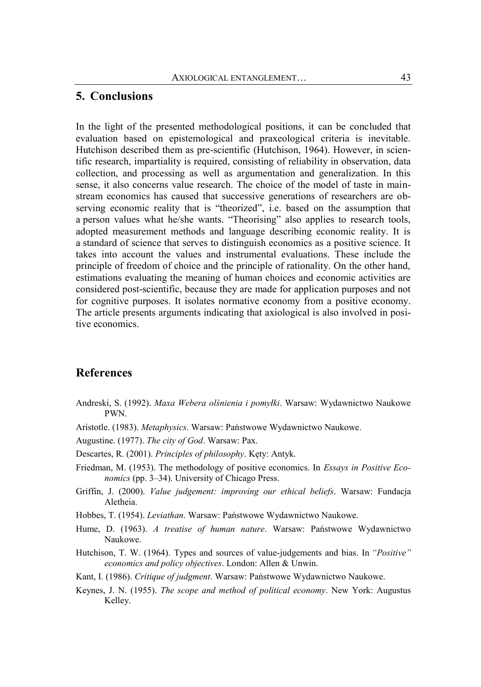### **5. Conclusions**

In the light of the presented methodological positions, it can be concluded that evaluation based on epistemological and praxeological criteria is inevitable. Hutchison described them as pre-scientific (Hutchison, 1964). However, in scientific research, impartiality is required, consisting of reliability in observation, data collection, and processing as well as argumentation and generalization. In this sense, it also concerns value research. The choice of the model of taste in mainstream economics has caused that successive generations of researchers are observing economic reality that is "theorized", i.e. based on the assumption that a person values what he/she wants. "Theorising" also applies to research tools, adopted measurement methods and language describing economic reality. It is a standard of science that serves to distinguish economics as a positive science. It takes into account the values and instrumental evaluations. These include the principle of freedom of choice and the principle of rationality. On the other hand, estimations evaluating the meaning of human choices and economic activities are considered post-scientific, because they are made for application purposes and not for cognitive purposes. It isolates normative economy from a positive economy. The article presents arguments indicating that axiological is also involved in positive economics.

### **References**

- Andreski, S. (1992). *Maxa Webera olśnienia i pomyłki*. Warsaw: Wydawnictwo Naukowe PWN.
- Aristotle. (1983). *Metaphysics*. Warsaw: Państwowe Wydawnictwo Naukowe.

Augustine. (1977). *The city of God*. Warsaw: Pax.

- Descartes, R. (2001). *Principles of philosophy*. Kęty: Antyk.
- Friedman, M. (1953). The methodology of positive economics. In *Essays in Positive Economics* (pp. 3–34). University of Chicago Press.
- Griffin, J. (2000). *Value judgement: improving our ethical beliefs*. Warsaw: Fundacja Aletheia.
- Hobbes, T. (1954). *Leviathan*. Warsaw: Państwowe Wydawnictwo Naukowe.
- Hume, D. (1963). *A treatise of human nature*. Warsaw: Państwowe Wydawnictwo Naukowe.
- Hutchison, T. W. (1964). Types and sources of value-judgements and bias. In *"Positive" economics and policy objectives*. London: Allen & Unwin.
- Kant, I. (1986). *Critique of judgment*. Warsaw: Państwowe Wydawnictwo Naukowe.
- Keynes, J. N. (1955). *The scope and method of political economy*. New York: Augustus Kelley.